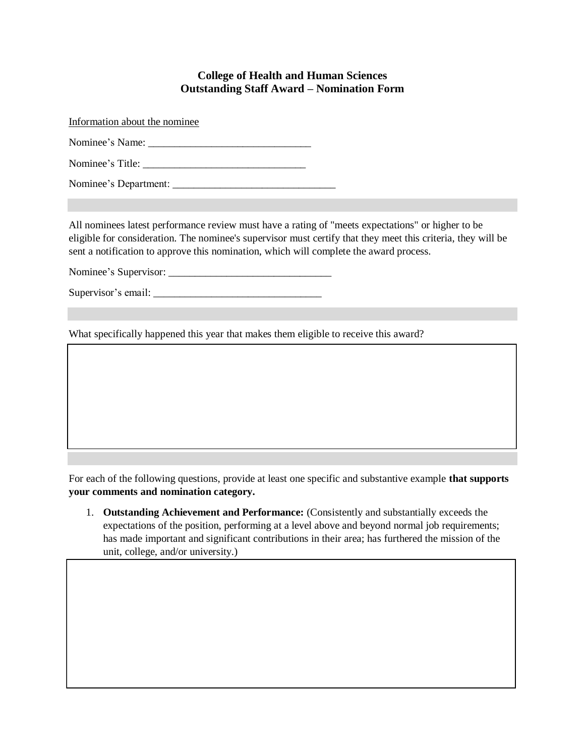## **College of Health and Human Sciences Outstanding Staff Award – Nomination Form**

Information about the nominee Nominee's Name: \_\_\_\_\_\_\_\_\_\_\_\_\_\_\_\_\_\_\_\_\_\_\_\_\_\_\_\_\_\_\_ Nominee's Title: \_\_\_\_\_\_\_\_\_\_\_\_\_\_\_\_\_\_\_\_\_\_\_\_\_\_\_\_\_\_\_ Nominee's Department: \_\_\_\_\_\_\_\_\_\_\_\_\_\_\_\_\_\_\_\_\_\_\_\_\_\_\_\_\_\_\_

All nominees latest performance review must have a rating of "meets expectations" or higher to be eligible for consideration. The nominee's supervisor must certify that they meet this criteria, they will be sent a notification to approve this nomination, which will complete the award process.

Nominee's Supervisor: \_\_\_\_\_\_\_\_\_\_\_\_\_\_\_\_\_\_\_\_\_\_\_\_\_\_\_\_\_\_\_

Supervisor's email: \_\_\_\_\_\_\_\_\_\_\_\_\_\_\_\_\_\_\_\_\_\_\_\_\_\_\_\_\_\_\_\_

What specifically happened this year that makes them eligible to receive this award?

For each of the following questions, provide at least one specific and substantive example **that supports your comments and nomination category.**

1. **Outstanding Achievement and Performance:** (Consistently and substantially exceeds the expectations of the position, performing at a level above and beyond normal job requirements; has made important and significant contributions in their area; has furthered the mission of the unit, college, and/or university.)